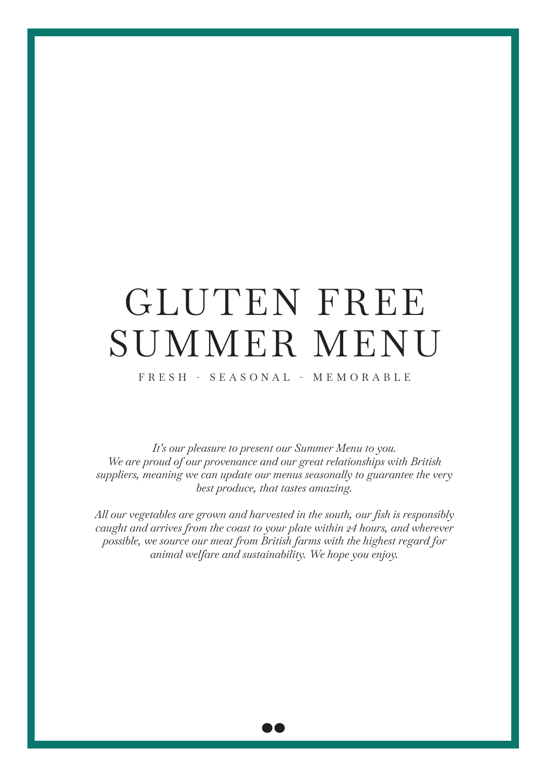# GLUTEN FREE SUMMER MENU

FRESH - SEASONAL - MEMORABLE

*It's our pleasure to present our Summer Menu to you. We are proud of our provenance and our great relationships with British suppliers, meaning we can update our menus seasonally to guarantee the very best produce, that tastes amazing.* 

*All our vegetables are grown and harvested in the south, our fish is responsibly caught and arrives from the coast to your plate within 24 hours, and wherever possible, we source our meat from British farms with the highest regard for animal welfare and sustainability. We hope you enjoy.*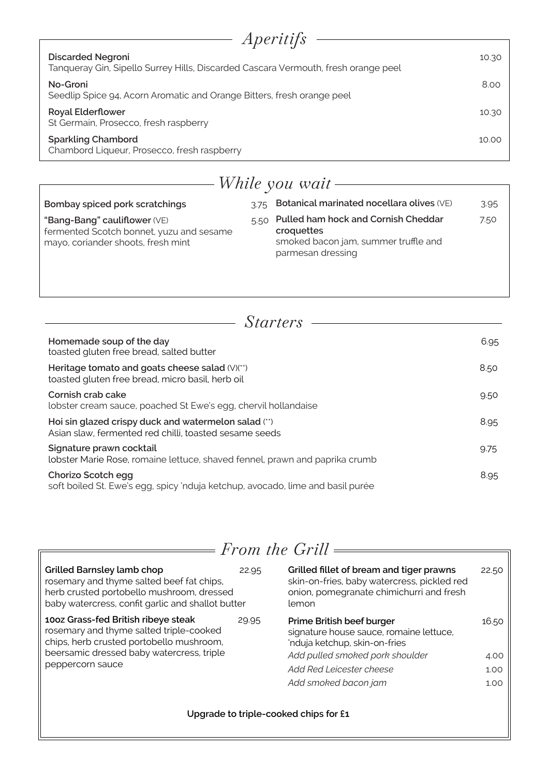| <i>Aperitifs</i>                                                                                               |       |
|----------------------------------------------------------------------------------------------------------------|-------|
| <b>Discarded Negroni</b><br>Tanqueray Gin, Sipello Surrey Hills, Discarded Cascara Vermouth, fresh orange peel | 10.30 |
| No-Groni<br>Seedlip Spice 94, Acorn Aromatic and Orange Bitters, fresh orange peel                             | 8.00  |
| Royal Elderflower<br>St Germain, Prosecco, fresh raspberry                                                     | 10.30 |
| <b>Sparkling Chambord</b><br>Chambord Liqueur, Prosecco, fresh raspberry                                       | 10.00 |

| While you wait |
|----------------|
|----------------|

| Bombay spiced pork scratchings                                                                                 | 3.75 | Botanical marinated nocellara olives (VE)                                                                      | 3.95 |
|----------------------------------------------------------------------------------------------------------------|------|----------------------------------------------------------------------------------------------------------------|------|
| "Bang-Bang" cauliflower (VE)<br>fermented Scotch bonnet, yuzu and sesame<br>mayo, coriander shoots, fresh mint | 5.50 | Pulled ham hock and Cornish Cheddar<br>croquettes<br>smoked bacon jam, summer truffle and<br>parmesan dressing | 7.50 |
|                                                                                                                |      |                                                                                                                |      |

| <i>Starters</i>                                                                                               |      |  |  |  |
|---------------------------------------------------------------------------------------------------------------|------|--|--|--|
| Homemade soup of the day<br>toasted gluten free bread, salted butter                                          | 6.95 |  |  |  |
| Heritage tomato and goats cheese salad (V)(**)<br>toasted gluten free bread, micro basil, herb oil            | 8.50 |  |  |  |
| Cornish crab cake<br>lobster cream sauce, poached St Ewe's egg, chervil hollandaise                           | 9.50 |  |  |  |
| Hoi sin glazed crispy duck and watermelon salad (")<br>Asian slaw, fermented red chilli, toasted sesame seeds | 8.95 |  |  |  |
| Signature prawn cocktail<br>lobster Marie Rose, romaine lettuce, shaved fennel, prawn and paprika crumb       | 9.75 |  |  |  |
| Chorizo Scotch egg<br>soft boiled St. Ewe's egg, spicy 'nduja ketchup, avocado, lime and basil purée          | 8.95 |  |  |  |

## *From the Grill*

|                                                                                                                                                                           |       | <i>From the Crill</i>                                                                                                                        |               |
|---------------------------------------------------------------------------------------------------------------------------------------------------------------------------|-------|----------------------------------------------------------------------------------------------------------------------------------------------|---------------|
| Grilled Barnsley lamb chop<br>rosemary and thyme salted beef fat chips,<br>herb crusted portobello mushroom, dressed<br>baby watercress, confit garlic and shallot butter | 22.95 | Grilled fillet of bream and tiger prawns<br>skin-on-fries, baby watercress, pickled red<br>onion, pomegranate chimichurri and fresh<br>lemon | 22.50         |
| 1002 Grass-fed British ribeye steak<br>rosemary and thyme salted triple-cooked<br>chips, herb crusted portobello mushroom,<br>beersamic dressed baby watercress, triple   | 29.95 | Prime British beef burger<br>signature house sauce, romaine lettuce,<br>'nduja ketchup, skin-on-fries<br>Add pulled smoked pork shoulder     | 16.50<br>4.00 |
| peppercorn sauce                                                                                                                                                          |       | Add Red Leicester cheese                                                                                                                     | 1.00          |
|                                                                                                                                                                           |       | Add smoked bacon jam                                                                                                                         | 1.00          |
|                                                                                                                                                                           |       | Upgrade to triple-cooked chips for £1                                                                                                        |               |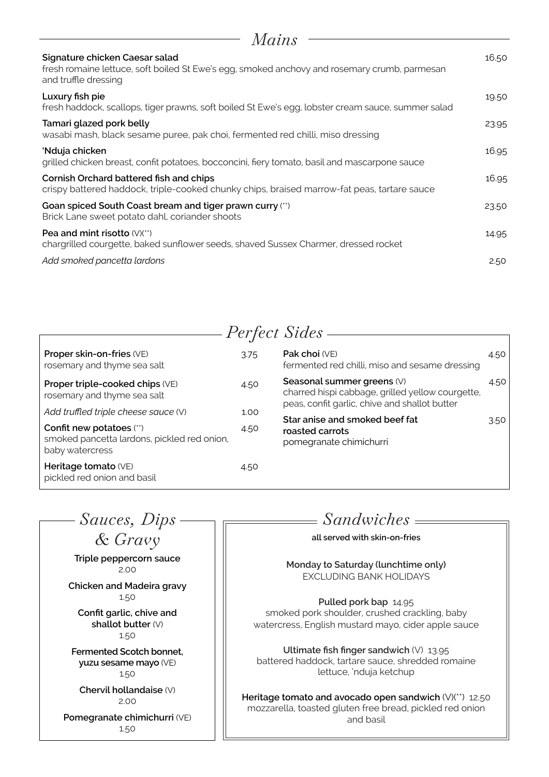| Mains                                                                                                                                                  |       |  |  |  |
|--------------------------------------------------------------------------------------------------------------------------------------------------------|-------|--|--|--|
| Signature chicken Caesar salad<br>fresh romaine lettuce, soft boiled St Ewe's egg, smoked anchovy and rosemary crumb, parmesan<br>and truffle dressing | 16.50 |  |  |  |
| Luxury fish pie<br>fresh haddock, scallops, tiger prawns, soft boiled St Ewe's egg, lobster cream sauce, summer salad                                  | 19.50 |  |  |  |
| Tamari glazed pork belly<br>wasabi mash, black sesame puree, pak choi, fermented red chilli, miso dressing                                             | 23.95 |  |  |  |
| 'Nduja chicken<br>grilled chicken breast, confit potatoes, bocconcini, fiery tomato, basil and mascarpone sauce                                        | 16.95 |  |  |  |
| Cornish Orchard battered fish and chips<br>crispy battered haddock, triple-cooked chunky chips, braised marrow-fat peas, tartare sauce                 | 16.95 |  |  |  |
| Goan spiced South Coast bream and tiger prawn curry (")<br>Brick Lane sweet potato dahl, coriander shoots                                              | 23.50 |  |  |  |
| Pea and mint risotto $(V)(''')$<br>chargrilled courgette, baked sunflower seeds, shaved Sussex Charmer, dressed rocket                                 | 14.95 |  |  |  |
| Add smoked pancetta lardons                                                                                                                            | 2.50  |  |  |  |

#### **Proper skin-on-fries** (VE) 3.75 rosemary and thyme sea salt **Proper triple-cooked chips** (VE) 4.50 rosemary and thyme sea salt Add truffled triple cheese sauce (V) 1.00 **Confit new potatoes** (\*\*) 4.50 smoked pancetta lardons, pickled red onion, baby watercress **Heritage tomato** (VE) 4.50 pickled red onion and basil **Pak choi** (VE) 4.50 fermented red chilli, miso and sesame dressing **Seasonal summer greens (V)** 4.50 charred hispi cabbage, grilled yellow courgette, peas, confit garlic, chive and shallot butter **Star anise and smoked beef fat** 3.50 **roasted carrots**  pomegranate chimichurri *Perfect Sides*

**Triple peppercorn sauce**  2.00 **Chicken and Madeira gravy**  1.50 **Confit garlic, chive and shallot butter** (V) 1.50 **Fermented Scotch bonnet, yuzu sesame mayo** (VE) 1.50 **Chervil hollandaise** (V) 2.00 **Pomegranate chimichurri** (VE) 1.50 *Sauces, Dips & Gravy*

## *Sandwiches*

#### **all served with skin-on-fries**

**Monday to Saturday (lunchtime only) EXCLUDING BANK HOLIDAYS** 

**Pulled pork bap** 14.95 smoked pork shoulder, crushed crackling, baby watercress, English mustard mayo, cider apple sauce

**Ultimate fish finger sandwich** (V) 13.95 battered haddock, tartare sauce, shredded romaine lettuce, 'nduja ketchup

**Heritage tomato and avocado open sandwich** (V)(\*\*)12.50 mozzarella, toasted gluten free bread, pickled red onion and basil